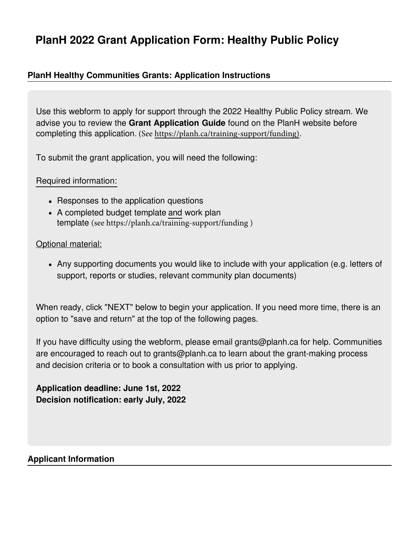# **PlanH 2022 Grant Application Form: Healthy Public Policy**

### **PlanH Healthy Communities Grants: Application Instructions**

Use this webform to apply for support through the 2022 Healthy Public Policy stream. We advise you to review the **Grant Application Guide** found on the PlanH website before completing this application. (See https://planh.ca/training-support/funding).

To submit the grant application, you will need the following:

#### Required information:

- Responses to the application questions
- A completed budget template and work plan template (see https://planh.ca/training-support/funding )

#### Optional material:

Any supporting documents you would like to include with your application (e.g. letters of support, reports or studies, relevant community plan documents)

When ready, click "NEXT" below to begin your application. If you need more time, there is an option to "save and return" at the top of the following pages.

If you have difficulty using the webform, please email grants@planh.ca for help. Communities are encouraged to reach out to grants@planh.ca to learn about the grant-making process and decision criteria or to book a consultation with us prior to applying.

**Application deadline: June 1st, 2022 Decision notification: early July, 2022**

### **Applicant Information**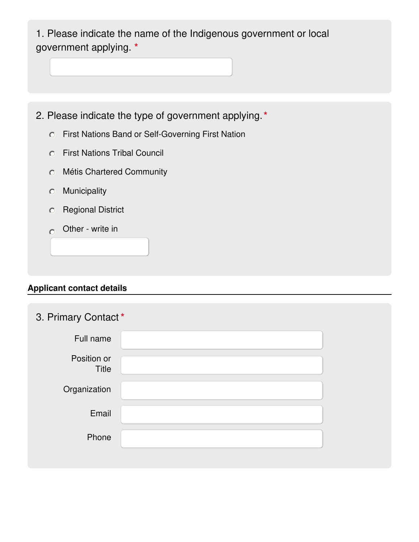1. Please indicate the name of the Indigenous government or local government applying. **\***

- 2. Please indicate the type of government applying. **\***
	- First Nations Band or Self-Governing First Nation
	- First Nations Tribal Council
	- Métis Chartered Community
	- Municipality
	- **C** Regional District
	- Other write in  $\circ$

### **Applicant contact details**

| 3. Primary Contact*         |  |  |  |  |
|-----------------------------|--|--|--|--|
| Full name                   |  |  |  |  |
| Position or<br><b>Title</b> |  |  |  |  |
| Organization                |  |  |  |  |
| Email                       |  |  |  |  |
| Phone                       |  |  |  |  |
|                             |  |  |  |  |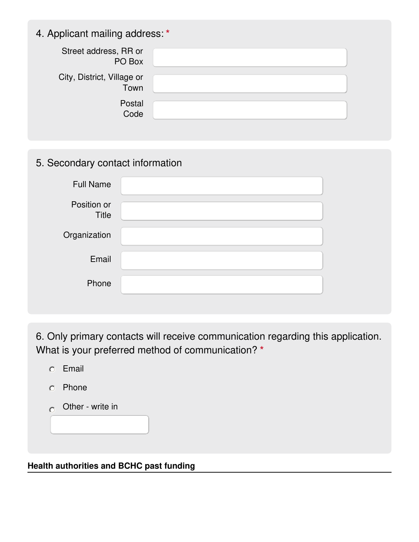# 4. Applicant mailing address: **\***

| Street address, RR or<br>PO Box    |  |
|------------------------------------|--|
| City, District, Village or<br>Town |  |
| Postal<br>Code                     |  |

# 5. Secondary contact information

| <b>Full Name</b>            |  |
|-----------------------------|--|
| Position or<br><b>Title</b> |  |
| Organization                |  |
| Email                       |  |
| Phone                       |  |

6. Only primary contacts will receive communication regarding this application. What is your preferred method of communication? **\***

- Email
- Phone
- $\circ$  Other write in

## **Health authorities and BCHC past funding**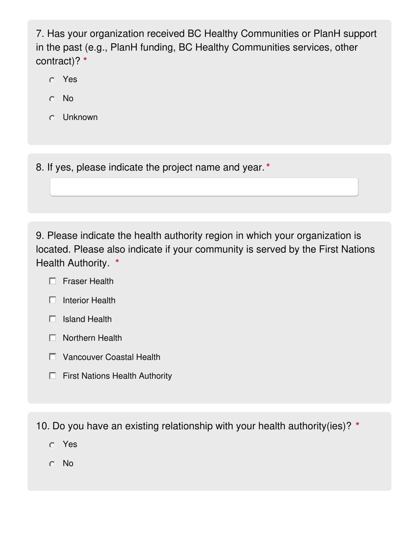7. Has your organization received BC Healthy Communities or PlanH support in the past (e.g., PlanH funding, BC Healthy Communities services, other contract)? **\***

- Yes
- No
- Unknown

8. If yes, please indicate the project name and year. **\***

9. Please indicate the health authority region in which your organization is located. Please also indicate if your community is served by the First Nations Health Authority. **\***

- $\Box$  Fraser Health
- $\Box$  Interior Health
- $\Box$  Island Health
- **Northern Health**
- Vancouver Coastal Health
- $\Box$  First Nations Health Authority

10. Do you have an existing relationship with your health authority(ies)? **\***

- Yes
- No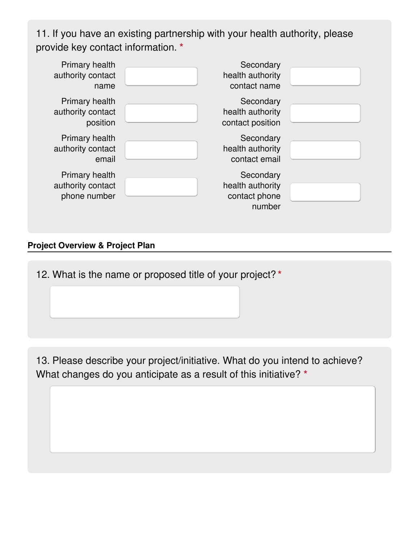11. If you have an existing partnership with your health authority, please provide key contact information. **\***



### **Project Overview & Project Plan**

12. What is the name or proposed title of your project? **\***

13. Please describe your project/initiative. What do you intend to achieve? What changes do you anticipate as a result of this initiative? **\***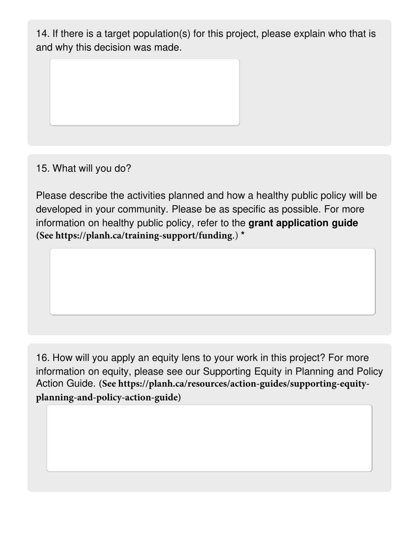14. If there is a target population(s) for this project, please explain who that is and why this decision was made.

15. What will you do?

Please describe the activities planned and how a healthy public policy will be developed in your community. Please be as specific as possible. For more information on healthy public policy, refer to the **grant application guide (See https://planh.ca/training-support/funding**.) **\***

16. How will you apply an equity lens to your work in this project? For more information on equity, please see our Supporting Equity in Planning and Policy Action Guide. **(See https://planh.ca/resources/action-guides/supporting-equityplanning-and-policy-action-guide)**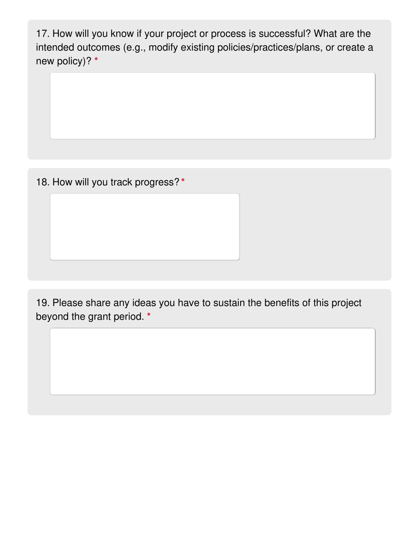17. How will you know if your project or process is successful? What are the intended outcomes (e.g., modify existing policies/practices/plans, or create a new policy)? **\***

18. How will you track progress? **\***

19. Please share any ideas you have to sustain the benefits of this project beyond the grant period. **\***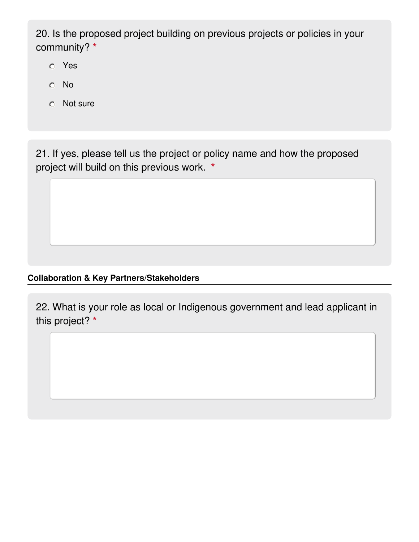20. Is the proposed project building on previous projects or policies in your community? **\***

- Yes
- No
- Not sure

21. If yes, please tell us the project or policy name and how the proposed project will build on this previous work. **\***

## **Collaboration & Key Partners/Stakeholders**

22. What is your role as local or Indigenous government and lead applicant in this project? **\***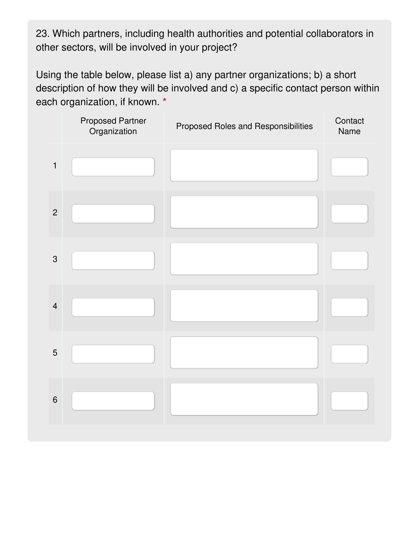23. Which partners, including health authorities and potential collaborators in other sectors, will be involved in your project?

Using the table below, please list a) any partner organizations; b) a short description of how they will be involved and c) a specific contact person within each organization, if known. **\***

|                         | <b>Proposed Partner</b><br>Organization | Proposed Roles and Responsibilities | Contact<br>Name |
|-------------------------|-----------------------------------------|-------------------------------------|-----------------|
| $\mathbf{1}$            |                                         |                                     |                 |
| $\overline{c}$          |                                         |                                     |                 |
| $\mathbf{3}$            |                                         |                                     |                 |
| $\overline{\mathbf{4}}$ |                                         |                                     |                 |
| 5                       |                                         |                                     |                 |
| $6\phantom{1}6$         |                                         |                                     |                 |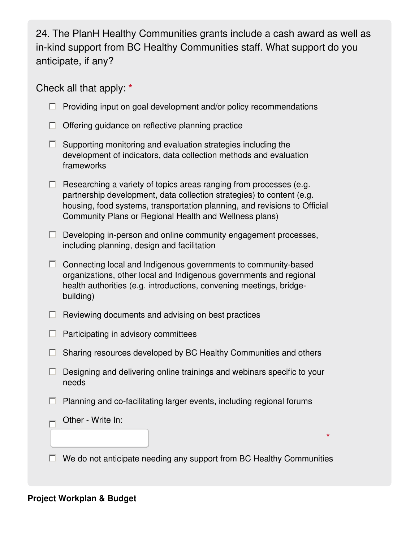24. The PlanH Healthy Communities grants include a cash award as well as in-kind support from BC Healthy Communities staff. What support do you anticipate, if any?

Check all that apply: **\***

- $\Box$  Providing input on goal development and/or policy recommendations
- $\Box$  Offering guidance on reflective planning practice
- $\Box$  Supporting monitoring and evaluation strategies including the development of indicators, data collection methods and evaluation frameworks
- $\Box$  Researching a variety of topics areas ranging from processes (e.g. partnership development, data collection strategies) to content (e.g. housing, food systems, transportation planning, and revisions to Official Community Plans or Regional Health and Wellness plans)
- $\Box$  Developing in-person and online community engagement processes, including planning, design and facilitation
- $\Box$  Connecting local and Indigenous governments to community-based organizations, other local and Indigenous governments and regional health authorities (e.g. introductions, convening meetings, bridgebuilding)
- $\Box$  Reviewing documents and advising on best practices
- $\Box$  Participating in advisory committees
- $\Box$  Sharing resources developed by BC Healthy Communities and others
- $\Box$  Designing and delivering online trainings and webinars specific to your needs
- $\Box$  Planning and co-facilitating larger events, including regional forums
- Other Write In:
- $\Box$  We do not anticipate needing any support from BC Healthy Communities

 **\***

### **Project Workplan & Budget**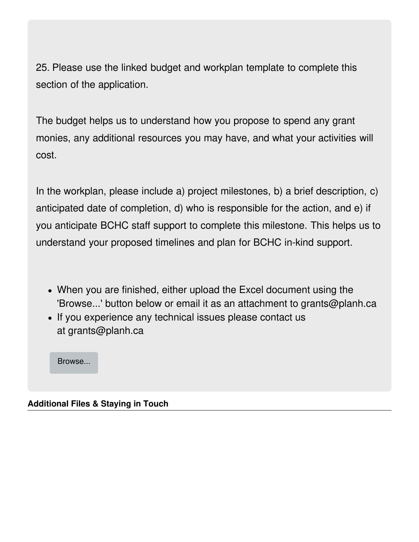25. Please use the linked budget and workplan template to complete this section of the application.

The budget helps us to understand how you propose to spend any grant monies, any additional resources you may have, and what your activities will cost.

In the workplan, please include a) project milestones, b) a brief description, c) anticipated date of completion, d) who is responsible for the action, and e) if you anticipate BCHC staff support to complete this milestone. This helps us to understand your proposed timelines and plan for BCHC in-kind support.

- When you are finished, either upload the Excel document using the 'Browse...' button below or email it as an attachment to grants@planh.ca
- If you experience any technical issues please contact us at grants@planh.ca

Browse...

### **Additional Files & Staying in Touch**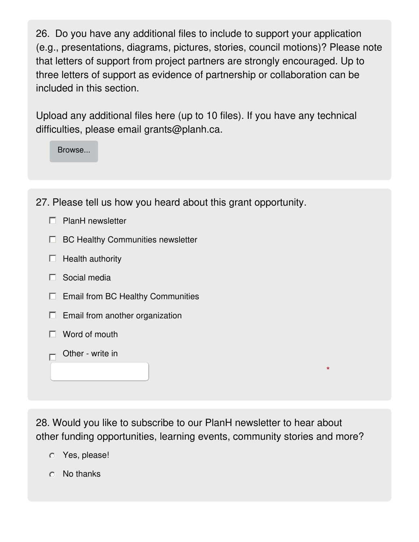26. Do you have any additional files to include to support your application (e.g., presentations, diagrams, pictures, stories, council motions)? Please note that letters of support from project partners are strongly encouraged. Up to three letters of support as evidence of partnership or collaboration can be included in this section.

Upload any additional files here (up to 10 files). If you have any technical difficulties, please email grants@planh.ca.

Browse...

27. Please tell us how you heard about this grant opportunity.

- $\Box$  PlanH newsletter
- $\Box$  BC Healthy Communities newsletter
- $\Box$  Health authority
- $\Box$  Social media
- $\Box$  Email from BC Healthy Communities
- $\Box$  Email from another organization
- $\Box$  Word of mouth
- Other write in

28. Would you like to subscribe to our PlanH newsletter to hear about other funding opportunities, learning events, community stories and more?

 **\***

- Yes, please!
- $\circ$  No thanks